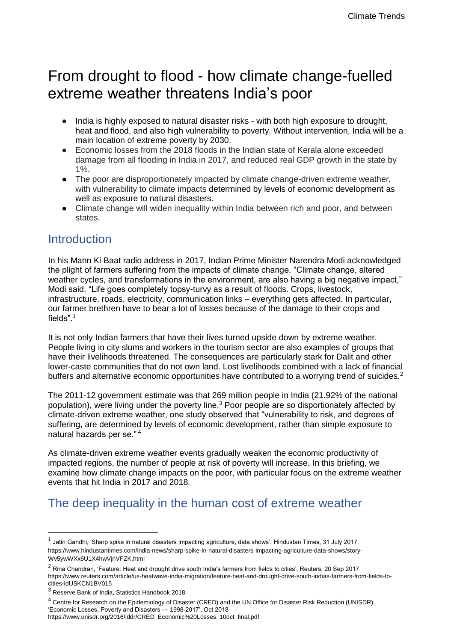# From drought to flood - how climate change-fuelled extreme weather threatens India's poor

- India is highly exposed to natural disaster risks with both high exposure to drought, heat and flood, and also high vulnerability to poverty. Without intervention, India will be a main location of extreme poverty by 2030.
- Economic losses from the 2018 floods in the Indian state of Kerala alone exceeded damage from all flooding in India in 2017, and reduced real GDP growth in the state by 1%.
- The poor are disproportionately impacted by climate change-driven extreme weather, with vulnerability to climate impacts determined by levels of economic development as well as exposure to natural disasters.
- Climate change will widen inequality within India between rich and poor, and between states.

## Introduction

In his Mann Ki Baat radio address in 2017, Indian Prime Minister Narendra Modi acknowledged the plight of farmers suffering from the impacts of climate change. "Climate change, altered weather cycles, and transformations in the environment, are also having a big negative impact," Modi said. "Life goes completely topsy-turvy as a result of floods. Crops, livestock, infrastructure, roads, electricity, communication links – everything gets affected. In particular, our farmer brethren have to bear a lot of losses because of the damage to their crops and fields"<sup>1</sup>

It is not only Indian farmers that have their lives turned upside down by extreme weather. People living in city slums and workers in the tourism sector are also examples of groups that have their livelihoods threatened. The consequences are particularly stark for Dalit and other lower-caste communities that do not own land. Lost livelihoods combined with a lack of financial buffers and alternative economic opportunities have contributed to a worrying trend of suicides.<sup>2</sup>

The 2011-12 government estimate was that 269 million people in India (21.92% of the national population), were living under the poverty line.<sup>3</sup> Poor people are so disportionately affected by climate-driven extreme weather, one study observed that "vulnerability to risk, and degrees of suffering, are determined by levels of economic development, rather than simple exposure to natural hazards per se." <sup>4</sup>

As climate-driven extreme weather events gradually weaken the economic productivity of impacted regions, the number of people at risk of poverty will increase. In this briefing, we examine how climate change impacts on the poor, with particular focus on the extreme weather events that hit India in 2017 and 2018.

## The deep inequality in the human cost of extreme weather

<sup>&</sup>lt;sup>1</sup> Jatin Gandhi, 'Sharp spike in natural disasters impacting agriculture, data shows', Hindustan Times, 31 July 2017. https://www.hindustantimes.com/india-news/sharp-spike-in-natural-disasters-impacting-agriculture-data-shows/story-Wv5ywWXx6U1X4hwVjnVFZK.html

 $2$  Rina Chandran, 'Feature: Heat and drought drive south India's farmers from fields to cities', Reuters, 20 Sep 2017. https://www.reuters.com/article/us-heatwave-india-migration/feature-heat-and-drought-drive-south-indias-farmers-from-fields-tocities-idUSKCN1BV015

<sup>3</sup> Reserve Bank of India, Statistics Handbook 2018.

<sup>&</sup>lt;sup>4</sup> Centre for Research on the Epidemiology of Disaster (CRED) and the UN Office for Disaster Risk Reduction (UNISDR), 'Economic Losses, Poverty and Disasters — 1998-2017', Oct 2018 https://www.unisdr.org/2016/iddr/CRED\_Economic%20Losses\_10oct\_final.pdf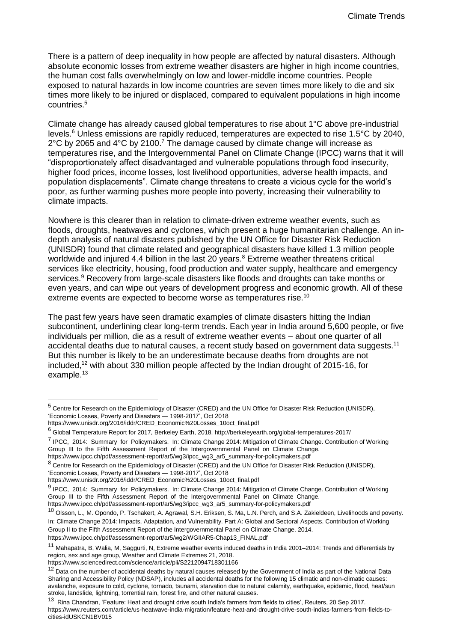There is a pattern of deep inequality in how people are affected by natural disasters. Although absolute economic losses from extreme weather disasters are higher in high income countries, the human cost falls overwhelmingly on low and lower-middle income countries. People exposed to natural hazards in low income countries are seven times more likely to die and six times more likely to be injured or displaced, compared to equivalent populations in high income countries.<sup>5</sup>

Climate change has already caused global temperatures to rise about 1°C above pre-industrial levels.<sup>6</sup> Unless emissions are rapidly reduced, temperatures are expected to rise 1.5°C by 2040,  $2^{\circ}$ C by 2065 and 4 $^{\circ}$ C by 2100.<sup>7</sup> The damage caused by climate change will increase as temperatures rise, and the Intergovernmental Panel on Climate Change (IPCC) warns that it will "disproportionately affect disadvantaged and vulnerable populations through food insecurity, higher food prices, income losses, lost livelihood opportunities, adverse health impacts, and population displacements". Climate change threatens to create a vicious cycle for the world's poor, as further warming pushes more people into poverty, increasing their vulnerability to climate impacts.

Nowhere is this clearer than in relation to climate-driven extreme weather events, such as floods, droughts, heatwaves and cyclones, which present a huge humanitarian challenge. An indepth analysis of natural disasters published by the UN Office for Disaster Risk Reduction (UNISDR) found that climate related and geographical disasters have killed 1.3 million people worldwide and injured 4.4 billion in the last 20 years.<sup>8</sup> Extreme weather threatens critical services like electricity, housing, food production and water supply, healthcare and emergency services.<sup>9</sup> Recovery from large-scale disasters like floods and droughts can take months or even years, and can wipe out years of development progress and economic growth. All of these extreme events are expected to become worse as temperatures rise.<sup>10</sup>

The past few years have seen dramatic examples of climate disasters hitting the Indian subcontinent, underlining clear long-term trends. Each year in India around 5,600 people, or five individuals per million, die as a result of extreme weather events – about one quarter of all accidental deaths due to natural causes, a recent study based on government data suggests.<sup>11</sup> But this number is likely to be an underestimate because deaths from droughts are not included,<sup>12</sup> with about 330 million people affected by the Indian drought of 2015-16, for example.<sup>13</sup>

-

https://www.ipcc.ch/pdf/assessment-report/ar5/wg3/ipcc\_wg3\_ar5\_summary-for-policymakers.pdf

<sup>5</sup> Centre for Research on the Epidemiology of Disaster (CRED) and the UN Office for Disaster Risk Reduction (UNISDR), 'Economic Losses, Poverty and Disasters — 1998-2017', Oct 2018

https://www.unisdr.org/2016/iddr/CRED\_Economic%20Losses\_10oct\_final.pdf

<sup>6</sup> Global Temperature Report for 2017, Berkeley Earth, 2018. http://berkeleyearth.org/global-temperatures-2017/

<sup>&</sup>lt;sup>7</sup> IPCC, 2014: Summary for Policymakers. In: Climate Change 2014: Mitigation of Climate Change. Contribution of Working Group III to the Fifth Assessment Report of the Intergovernmental Panel on Climate Change.

<sup>&</sup>lt;sup>8</sup> Centre for Research on the Epidemiology of Disaster (CRED) and the UN Office for Disaster Risk Reduction (UNISDR), 'Economic Losses, Poverty and Disasters — 1998-2017', Oct 2018

https://www.unisdr.org/2016/iddr/CRED\_Economic%20Losses\_10oct\_final.pdf

<sup>9</sup> IPCC, 2014: Summary for Policymakers. In: Climate Change 2014: Mitigation of Climate Change. Contribution of Working Group III to the Fifth Assessment Report of the Intergovernmental Panel on Climate Change. https://www.ipcc.ch/pdf/assessment-report/ar5/wg3/ipcc\_wg3\_ar5\_summary-for-policymakers.pdf

<sup>&</sup>lt;sup>10</sup> Olsson, L., M. Opondo, P. Tschakert, A. Agrawal, S.H. Eriksen, S. Ma, L.N. Perch, and S.A. Zakieldeen, Livelihoods and poverty. In: Climate Change 2014: Impacts, Adaptation, and Vulnerability. Part A: Global and Sectoral Aspects. Contribution of Working Group II to the Fifth Assessment Report of the Intergovernmental Panel on Climate Change. 2014. https://www.ipcc.ch/pdf/assessment-report/ar5/wg2/WGIIAR5-Chap13\_FINAL.pdf

<sup>&</sup>lt;sup>11</sup> Mahapatra, B, Walia, M, Saggurti, N, Extreme weather events induced deaths in India 2001–2014: Trends and differentials by region, sex and age group, Weather and Climate Extremes 21, 2018.

https://www.sciencedirect.com/science/article/pii/S2212094718301166

 $12$  Data on the number of accidental deaths by natural causes released by the Government of India as part of the National Data Sharing and Accessibility Policy (NDSAP), includes all accidental deaths for the following 15 climatic and non-climatic causes: avalanche, exposure to cold, cyclone, tornado, tsunami, starvation due to natural calamity, earthquake, epidemic, flood, heat/sun stroke, landslide, lightning, torrential rain, forest fire, and other natural causes.

<sup>&</sup>lt;sup>13</sup> Rina Chandran, 'Feature: Heat and drought drive south India's farmers from fields to cities', Reuters, 20 Sep 2017. https://www.reuters.com/article/us-heatwave-india-migration/feature-heat-and-drought-drive-south-indias-farmers-from-fields-tocities-idUSKCN1BV015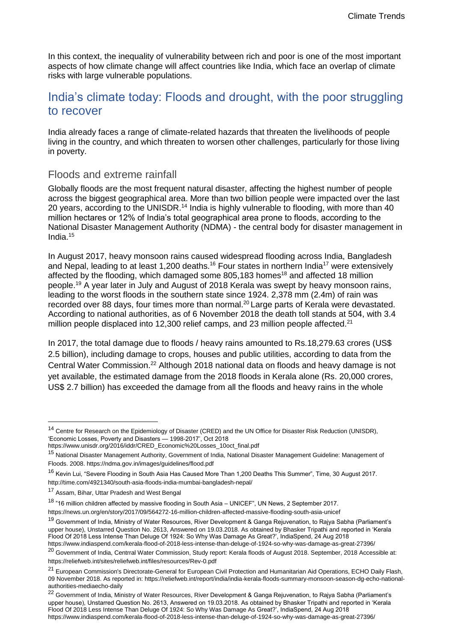In this context, the inequality of vulnerability between rich and poor is one of the most important aspects of how climate change will affect countries like India, which face an overlap of climate risks with large vulnerable populations.

## India's climate today: Floods and drought, with the poor struggling to recover

India already faces a range of climate-related hazards that threaten the livelihoods of people living in the country, and which threaten to worsen other challenges, particularly for those living in poverty.

### Floods and extreme rainfall

Globally floods are the most frequent natural disaster, affecting the highest number of people across the biggest geographical area. More than two billion people were impacted over the last 20 years, according to the UNISDR.<sup>14</sup> India is highly vulnerable to flooding, with more than 40 million hectares or 12% of India's total geographical area prone to floods, according to the National Disaster Management Authority (NDMA) - the central body for disaster management in India.<sup>15</sup>

In August 2017, heavy monsoon rains caused widespread flooding across India, Bangladesh and Nepal, leading to at least 1,200 deaths.<sup>16</sup> Four states in northern India<sup>17</sup> were extensively affected by the flooding, which damaged some  $805,183$  homes<sup>18</sup> and affected 18 million people.<sup>19</sup> A year later in July and August of 2018 Kerala was swept by heavy monsoon rains, leading to the worst floods in the southern state since 1924. 2,378 mm (2.4m) of rain was recorded over 88 days, four times more than normal.<sup>20</sup> Large parts of Kerala were devastated. According to national authorities, as of 6 November 2018 the death toll stands at 504, with 3.4 million people displaced into 12,300 relief camps, and 23 million people affected.<sup>21</sup>

In 2017, the total damage due to floods / heavy rains amounted to Rs.18,279.63 crores (US\$ 2.5 billion), including damage to crops, houses and public utilities, according to data from the Central Water Commission.<sup>22</sup> Although 2018 national data on floods and heavy damage is not yet available, the estimated damage from the 2018 floods in Kerala alone (Rs. 20,000 crores, US\$ 2.7 billion) has exceeded the damage from all the floods and heavy rains in the whole

<sup>14</sup> Centre for Research on the Epidemiology of Disaster (CRED) and the UN Office for Disaster Risk Reduction (UNISDR), 'Economic Losses, Poverty and Disasters — 1998-2017', Oct 2018

https://www.unisdr.org/2016/iddr/CRED\_Economic%20Losses\_10oct\_final.pdf

<sup>&</sup>lt;sup>15</sup> National Disaster Management Authority, Government of India, National Disaster Management Guideline: Management of Floods. 2008. https://ndma.gov.in/images/guidelines/flood.pdf

<sup>&</sup>lt;sup>16</sup> Kevin Lui, "Severe Flooding in South Asia Has Caused More Than 1,200 Deaths This Summer", Time, 30 August 2017. http://time.com/4921340/south-asia-floods-india-mumbai-bangladesh-nepal/

<sup>17</sup> Assam, Bihar, Uttar Pradesh and West Bengal

<sup>18</sup> "16 million children affected by massive flooding in South Asia – UNICEF", UN News, 2 September 2017.

https://news.un.org/en/story/2017/09/564272-16-million-children-affected-massive-flooding-south-asia-unicef

<sup>&</sup>lt;sup>19</sup> Government of India, Ministry of Water Resources, River Development & Ganga Rejuvenation, to Rajya Sabha (Parliament's upper house), Unstarred Question No. 2613, Answered on 19.03.2018. As obtained by Bhasker Tripathi and reported in 'Kerala Flood Of 2018 Less Intense Than Deluge Of 1924: So Why Was Damage As Great?', IndiaSpend, 24 Aug 2018 https://www.indiaspend.com/kerala-flood-of-2018-less-intense-than-deluge-of-1924-so-why-was-damage-as-great-27396/

<sup>&</sup>lt;sup>20</sup> Government of India, Centrral Water Commission, Study report: Kerala floods of August 2018. September, 2018 Accessible at: https://reliefweb.int/sites/reliefweb.int/files/resources/Rev-0.pdf

<sup>&</sup>lt;sup>21</sup> European Commission's Directorate-General for European Civil Protection and Humanitarian Aid Operations, ECHO Daily Flash, 09 November 2018. As reported in: https://reliefweb.int/report/india/india-kerala-floods-summary-monsoon-season-dg-echo-nationalauthorities-mediaecho-daily

<sup>&</sup>lt;sup>22</sup> Government of India, Ministry of Water Resources, River Development & Ganga Rejuvenation, to Rajya Sabha (Parliament's upper house), Unstarred Question No. 2613, Answered on 19.03.2018. As obtained by Bhasker Tripathi and reported in 'Kerala Flood Of 2018 Less Intense Than Deluge Of 1924: So Why Was Damage As Great?', IndiaSpend, 24 Aug 2018 https://www.indiaspend.com/kerala-flood-of-2018-less-intense-than-deluge-of-1924-so-why-was-damage-as-great-27396/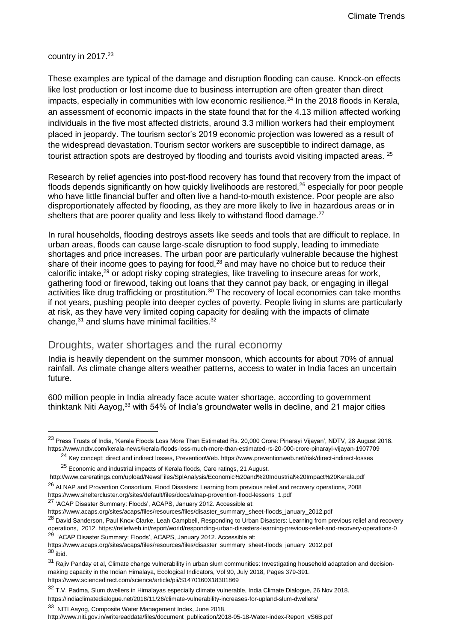### country in 2017.<sup>23</sup>

-

These examples are typical of the damage and disruption flooding can cause. Knock-on effects like lost production or lost income due to business interruption are often greater than direct impacts, especially in communities with low economic resilience.<sup>24</sup> In the 2018 floods in Kerala, an assessment of economic impacts in the state found that for the 4.13 million affected working individuals in the five most affected districts, around 3.3 million workers had their employment placed in jeopardy. The tourism sector's 2019 economic projection was lowered as a result of the widespread devastation. Tourism sector workers are susceptible to indirect damage, as tourist attraction spots are destroved by flooding and tourists avoid visiting impacted areas. <sup>25</sup>

Research by relief agencies into post-flood recovery has found that recovery from the impact of floods depends significantly on how quickly livelihoods are restored,<sup>26</sup> especially for poor people who have little financial buffer and often live a hand-to-mouth existence. Poor people are also disproportionately affected by flooding, as they are more likely to live in hazardous areas or in shelters that are poorer quality and less likely to withstand flood damage.  $27$ 

In rural households, flooding destroys assets like seeds and tools that are difficult to replace. In urban areas, floods can cause large-scale disruption to food supply, leading to immediate shortages and price increases. The urban poor are particularly vulnerable because the highest share of their income goes to paying for food,<sup>28</sup> and may have no choice but to reduce their calorific intake.<sup>29</sup> or adopt risky coping strategies, like traveling to insecure areas for work, gathering food or firewood, taking out loans that they cannot pay back, or engaging in illegal activities like drug trafficking or prostitution.<sup>30</sup> The recovery of local economies can take months if not years, pushing people into deeper cycles of poverty. People living in slums are particularly at risk, as they have very limited coping capacity for dealing with the impacts of climate change, $31$  and slums have minimal facilities.  $32$ 

### Droughts, water shortages and the rural economy

India is heavily dependent on the summer monsoon, which accounts for about 70% of annual rainfall. As climate change alters weather patterns, access to water in India faces an uncertain future.

600 million people in India already face acute water shortage, according to government thinktank Niti Aayog,<sup>33</sup> with 54% of India's groundwater wells in decline, and 21 major cities

 $25$  Economic and industrial impacts of Kerala floods, Care ratings, 21 August.

http://www.niti.gov.in/writereaddata/files/document\_publication/2018-05-18-Water-index-Report\_vS6B.pdf

<sup>&</sup>lt;sup>23</sup> Press Trusts of India, 'Kerala Floods Loss More Than Estimated Rs. 20,000 Crore: Pinarayi Vijayan', NDTV, 28 August 2018. https://www.ndtv.com/kerala-news/kerala-floods-loss-much-more-than-estimated-rs-20-000-crore-pinarayi-vijayan-1907709

<sup>24</sup> Key concept: direct and indirect losses, PreventionWeb. https://www.preventionweb.net/risk/direct-indirect-losses

http://www.careratings.com/upload/NewsFiles/SplAnalysis/Economic%20and%20Industrial%20Impact%20Kerala.pdf

<sup>&</sup>lt;sup>26</sup> ALNAP and Provention Consortium, Flood Disasters: Learning from previous relief and recovery operations, 2008 https://www.sheltercluster.org/sites/default/files/docs/alnap-provention-flood-lessons\_1.pdf

<sup>27</sup> 'ACAP Disaster Summary: Floods', ACAPS, January 2012. Accessible at:

https://www.acaps.org/sites/acaps/files/resources/files/disaster\_summary\_sheet-floods\_january\_2012.pdf

<sup>&</sup>lt;sup>28</sup> David Sanderson, Paul Knox-Clarke, Leah Campbell, Responding to Urban Disasters: Learning from previous relief and recovery operations, 2012. https://reliefweb.int/report/world/responding-urban-disasters-learning-previous-relief-and-recovery-operations-0 <sup>29</sup> 'ACAP Disaster Summary: Floods', ACAPS, January 2012. Accessible at:

https://www.acaps.org/sites/acaps/files/resources/files/disaster\_summary\_sheet-floods\_january\_2012.pdf  $30$  ibid.

<sup>&</sup>lt;sup>31</sup> Rajiv Panday et al, Climate change vulnerability in urban slum communities: Investigating household adaptation and decisionmaking capacity in the Indian Himalaya, Ecological Indicators, Vol 90, July 2018, Pages 379-391. https://www.sciencedirect.com/science/article/pii/S1470160X18301869

<sup>32</sup> T.V. Padma, Slum dwellers in Himalayas especially climate vulnerable, India Climate Dialogue, 26 Nov 2018. https://indiaclimatedialogue.net/2018/11/26/climate-vulnerability-increases-for-upland-slum-dwellers/

<sup>&</sup>lt;sup>33</sup> NITI Aayog, Composite Water Management Index, June 2018.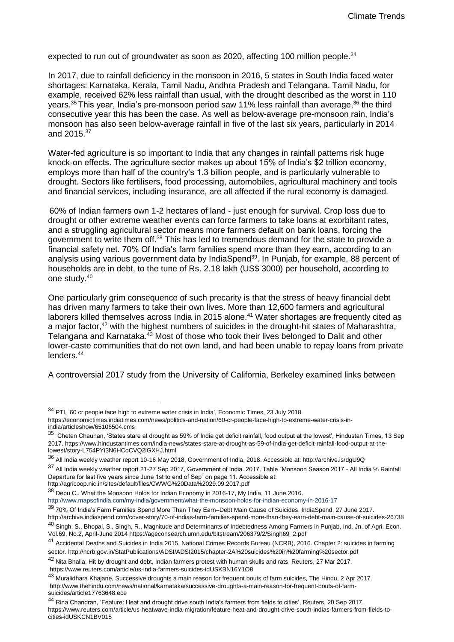expected to run out of groundwater as soon as  $2020$ , affecting 100 million people.<sup>34</sup>

In 2017, due to rainfall deficiency in the monsoon in 2016, 5 states in South India faced water shortages: Karnataka, Kerala, Tamil Nadu, Andhra Pradesh and Telangana. Tamil Nadu, for example, received 62% less rainfall than usual, with the drought described as the worst in 110 years.<sup>35</sup> This year, India's pre-monsoon period saw 11% less rainfall than average.<sup>36</sup> the third consecutive year this has been the case. As well as below-average pre-monsoon rain, India's monsoon has also seen below-average rainfall in five of the last six years, particularly in 2014 and 2015.<sup>37</sup>

Water-fed agriculture is so important to India that any changes in rainfall patterns risk huge knock-on effects. The agriculture sector makes up about 15% of India's \$2 trillion economy, employs more than half of the country's 1.3 billion people, and is particularly vulnerable to drought. Sectors like fertilisers, food processing, automobiles, agricultural machinery and tools and financial services, including insurance, are all affected if the rural economy is damaged.

60% of Indian farmers own 1-2 hectares of land - just enough for survival. Crop loss due to drought or other extreme weather events can force farmers to take loans at exorbitant rates, and a struggling agricultural sector means more farmers default on bank loans, forcing the government to write them off.<sup>38</sup> This has led to tremendous demand for the state to provide a financial safety net. 70% Of India's farm families spend more than they earn, according to an analysis using various government data by IndiaSpend<sup>39</sup>. In Punjab, for example, 88 percent of households are in debt, to the tune of Rs. 2.18 lakh (US\$ 3000) per household, according to one study.<sup>40</sup>

One particularly grim consequence of such precarity is that the stress of heavy financial debt has driven many farmers to take their own lives. More than 12,600 farmers and agricultural laborers killed themselves across India in 2015 alone.<sup>41</sup> Water shortages are frequently cited as a major factor,<sup>42</sup> with the highest numbers of suicides in the drought-hit states of Maharashtra, Telangana and Karnataka.<sup>43</sup> Most of those who took their lives belonged to Dalit and other lower-caste communities that do not own land, and had been unable to repay loans from private lenders.<sup>44</sup>

A controversial 2017 study from the University of California, Berkeley examined links between

-

http://www.mapsofindia.com/my-india/government/what-the-monsoon-holds-for-indian-economy-in-2016-17

<sup>&</sup>lt;sup>34</sup> PTI, '60 cr people face high to extreme water crisis in India', Economic Times, 23 July 2018. https://economictimes.indiatimes.com/news/politics-and-nation/60-cr-people-face-high-to-extreme-water-crisis-in-

india/articleshow/65106504.cms

 $^{35}$  Chetan Chauhan, 'States stare at drought as 59% of India get deficit rainfall, food output at the lowest', Hindustan Times, 13 Sep 2017. https://www.hindustantimes.com/india-news/states-stare-at-drought-as-59-of-india-get-deficit-rainfall-food-output-at-thelowest/story-L754PYi3N6HCoCVQ2lGXHJ.html

<sup>36</sup> All India weekly weather report 10-16 May 2018, Government of India, 2018. Accessible at: http://archive.is/dgU9Q

<sup>37</sup> All India weekly weather report 21-27 Sep 2017, Government of India. 2017. Table "Monsoon Season 2017 - All India % Rainfall Departure for last five years since June 1st to end of Sep" on page 11. Accessible at:

http://agricoop.nic.in/sites/default/files/CWWG%20Data%2029.09.2017.pdf

<sup>&</sup>lt;sup>38</sup> Debu C., What the Monsoon Holds for Indian Economy in 2016-17, My India, 11 June 2016.

<sup>&</sup>lt;sup>39</sup> 70% Of India's Farm Families Spend More Than They Earn–Debt Main Cause of Suicides, IndiaSpend, 27 June 2017. http://archive.indiaspend.com/cover-story/70-of-indias-farm-families-spend-more-than-they-earn-debt-main-cause-of-suicides-26738 <sup>40</sup> Singh, S., Bhopal, S., Singh, R., Magnitude and Determinants of Indebtedness Among Farmers in Punjab, Ind. Jn. of Agri. Econ.

Vol.69, No.2, April-June 2014 https://ageconsearch.umn.edu/bitstream/206379/2/Singh69\_2.pdf

<sup>&</sup>lt;sup>41</sup> Accidental Deaths and Suicides in India 2015, National Crimes Records Bureau (NCRB), 2016. Chapter 2: suicides in farming sector. http://ncrb.gov.in/StatPublications/ADSI/ADSI2015/chapter-2A%20suicides%20in%20farming%20sector.pdf

<sup>&</sup>lt;sup>42</sup> Nita Bhalla, Hit by drought and debt, Indian farmers protest with human skulls and rats, Reuters, 27 Mar 2017. https://www.reuters.com/article/us-india-farmers-suicides-idUSKBN16Y1O8

<sup>43</sup> [Muralidhara Khajane,](https://www.thehindu.com/profile/author/Muralidhara-Khajane-649/) Successive droughts a main reason for frequent bouts of farm suicides, The Hindu, 2 Apr 2017. http://www.thehindu.com/news/national/karnataka/successive-droughts-a-main-reason-for-frequent-bouts-of-farmsuicides/article17763648.ece

<sup>44</sup> Rina Chandran, 'Feature: Heat and drought drive south India's farmers from fields to cities', Reuters, 20 Sep 2017. https://www.reuters.com/article/us-heatwave-india-migration/feature-heat-and-drought-drive-south-indias-farmers-from-fields-tocities-idUSKCN1BV015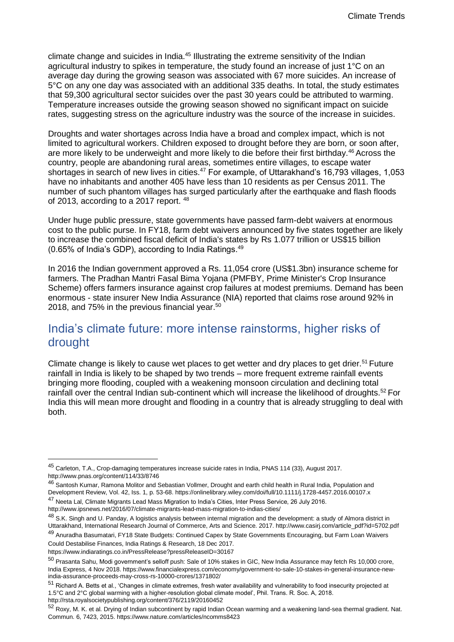climate change and suicides in India.<sup>45</sup> Illustrating the extreme sensitivity of the Indian agricultural industry to spikes in temperature, the study found an increase of just 1°C on an average day during the growing season was associated with 67 more suicides. An increase of 5°C on any one day was associated with an additional 335 deaths. In total, the study estimates that 59,300 agricultural sector suicides over the past 30 years could be attributed to warming. Temperature increases outside the growing season showed no significant impact on suicide rates, suggesting stress on the agriculture industry was the source of the increase in suicides.

Droughts and water shortages across India have a broad and complex impact, which is not limited to agricultural workers. Children exposed to drought before they are born, or soon after, are more likely to be underweight and more likely to die before their first birthday.<sup>46</sup> Across the country, people are abandoning rural areas, sometimes entire villages, to escape water shortages in search of new lives in cities.<sup>47</sup> For example, of Uttarakhand's 16,793 villages, 1,053 have no inhabitants and another 405 have less than 10 residents as per Census 2011. The number of such phantom villages has surged particularly after the earthquake and flash floods of 2013, according to a 2017 report. <sup>48</sup>

Under huge public pressure, state governments have passed farm-debt waivers at enormous cost to the public purse. In FY18, farm debt waivers announced by five states together are likely to increase the combined fiscal deficit of India's states by Rs 1.077 trillion or US\$15 billion  $(0.65\%$  of India's GDP), according to India Ratings. $49$ 

In 2016 the Indian government approved a Rs. 11,054 crore (US\$1.3bn) insurance scheme for farmers. The Pradhan Mantri Fasal Bima Yojana (PMFBY, Prime Minister's Crop Insurance Scheme) offers farmers insurance against crop failures at modest premiums. Demand has been enormous - state insurer New India Assurance (NIA) reported that claims rose around 92% in 2018, and 75% in the previous financial year.<sup>50</sup>

## India's climate future: more intense rainstorms, higher risks of drought

Climate change is likely to cause wet places to get wetter and dry places to get drier.<sup>51</sup> Future rainfall in India is likely to be shaped by two trends – more frequent extreme rainfall events bringing more flooding, coupled with a weakening monsoon circulation and declining total rainfall over the central Indian sub-continent which will increase the likelihood of droughts.<sup>52</sup> For India this will mean more drought and flooding in a country that is already struggling to deal with both.

<sup>45</sup> Carleton, T.A., Crop-damaging temperatures increase suicide rates in India, PNAS 114 (33), August 2017. http://www.pnas.org/content/114/33/8746

<sup>46</sup> [Santosh Kumar,](https://onlinelibrary.wiley.com/action/doSearch?ContribAuthorStored=Kumar%2C+Santosh) [Ramona Molitor](https://onlinelibrary.wiley.com/action/doSearch?ContribAuthorStored=Molitor%2C+Ramona) and Sebastian Vollmer, Drought and earth child health in Rural India, Population and [Development Review, Vol. 42, Iss. 1, p. 53-68.](https://onlinelibrary.wiley.com/action/doSearch?ContribAuthorStored=Vollmer%2C+Sebastian) https://onlinelibrary.wiley.com/doi/full/10.1111/j.1728-4457.2016.00107.x

<sup>47</sup> Neeta Lal. Climate Migrants Lead Mass Migration to India's Cities, Inter Press Service, 26 July 2016.

http://www.ipsnews.net/2016/07/climate-migrants-lead-mass-migration-to-indias-cities/

 $^{48}$  S.K. Singh and U. Panday, A logistics analysis between internal migration and the development: a study of Almora district in Uttarakhand, International Research Journal of Commerce, Arts and Science. 2017. http://www.casirj.com/article\_pdf?id=5702.pdf 49 Anuradha Basumatari, FY18 State Budgets: Continued Capex by State Governments Encouraging, but Farm Loan Waivers

Could Destabilise Finances, India Ratings & Research, 18 Dec 2017.

https://www.indiaratings.co.in/PressRelease?pressReleaseID=30167

<sup>50</sup> [Prasanta Sahu,](https://www.financialexpress.com/author/prasanta-sahu/) Modi government's selloff push: Sale of 10% stakes in GIC, New India Assurance may fetch Rs 10,000 crore, India Express, 4 Nov 2018. https://www.financialexpress.com/economy/government-to-sale-10-stakes-in-general-insurance-newindia-assurance-proceeds-may-cross-rs-10000-crores/1371802/

<sup>&</sup>lt;sup>51</sup> Richard A. Betts et al., 'Changes in climate extremes, fresh water availability and vulnerability to food insecurity projected at 1.5°C and 2°C global warming with a higher-resolution global climate model', Phil. Trans. R. Soc. A, 2018. http://rsta.royalsocietypublishing.org/content/376/2119/20160452

<sup>52</sup> Roxy, M. K. et al. Drying of Indian subcontinent by rapid Indian Ocean warming and a weakening land-sea thermal gradient. Nat. Commun. 6, 7423, 2015. https://www.nature.com/articles/ncomms8423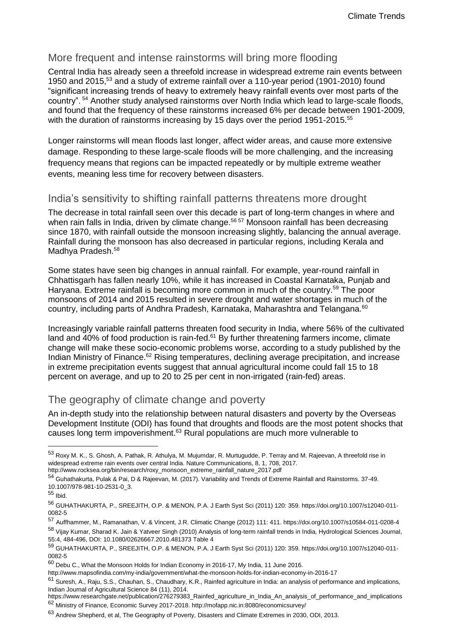### More frequent and intense rainstorms will bring more flooding

Central India has already seen a threefold increase in widespread extreme rain events between 1950 and 2015,<sup>53</sup> and a study of extreme rainfall over a 110-year period (1901-2010) found "significant increasing trends of heavy to extremely heavy rainfall events over most parts of the country". <sup>54</sup> Another study analysed rainstorms over North India which lead to large-scale floods, and found that the frequency of these rainstorms increased 6% per decade between 1901-2009, with the duration of rainstorms increasing by 15 days over the period 1951-2015.<sup>55</sup>

Longer rainstorms will mean floods last longer, affect wider areas, and cause more extensive damage. Responding to these large-scale floods will be more challenging, and the increasing frequency means that regions can be impacted repeatedly or by multiple extreme weather events, meaning less time for recovery between disasters.

### India's sensitivity to shifting rainfall patterns threatens more drought

The decrease in total rainfall seen over this decade is part of long-term changes in where and when rain falls in India, driven by climate change.<sup>56 57</sup> Monsoon rainfall has been decreasing since 1870, with rainfall outside the monsoon increasing slightly, balancing the annual average. Rainfall during the monsoon has also decreased in particular regions, including Kerala and Madhya Pradesh.<sup>58</sup>

Some states have seen big changes in annual rainfall. For example, year-round rainfall in Chhattisgarh has fallen nearly 10%, while it has increased in Coastal Karnataka, Punjab and Haryana. Extreme rainfall is becoming more common in much of the country.<sup>59</sup> The poor monsoons of 2014 and 2015 resulted in severe drought and water shortages in much of the country, including parts of Andhra Pradesh, Karnataka, Maharashtra and Telangana.<sup>60</sup>

Increasingly variable rainfall patterns threaten food security in India, where 56% of the cultivated land and  $40\%$  of food production is rain-fed.<sup>61</sup> By further threatening farmers income, climate change will make these socio-economic problems worse, according to a study published by the Indian Ministry of Finance.<sup>62</sup> Rising temperatures, declining average precipitation, and increase in extreme precipitation events suggest that annual agricultural income could fall 15 to 18 percent on average, and up to 20 to 25 per cent in non-irrigated (rain-fed) areas.

### The geography of climate change and poverty

An in-depth study into the relationship between natural disasters and poverty by the Overseas Development Institute (ODI) has found that droughts and floods are the most potent shocks that causes long term impoverishment.<sup>63</sup> Rural populations are much more vulnerable to

-

58 Vijav Kumar. Sharad K. Jain & Yatveer Singh (2010) Analysis of long-term rainfall trends in India, Hydrological Sciences Journal, 55:4, 484-496, DOI: 10.1080/02626667.2010.481373 Table 4

<sup>53</sup> Roxy M. K., S. Ghosh, A. Pathak, R. Athulya, M. Mujumdar, R. Murtugudde, P. Terray and M. Rajeevan, A threefold rise in widespread extreme rain events over central India. Nature Communications, 8, 1, 708, 2017. http://www.rocksea.org/bin/research/roxy\_monsoon\_extreme\_rainfall\_nature\_2017.pdf

<sup>54</sup> Guhathakurta, Pulak & Pai, D & Rajeevan, M. (2017). Variability and Trends of Extreme Rainfall and Rainstorms. 37-49. 10.1007/978-981-10-2531-0\_3.

<sup>55</sup> Ibid.

<sup>56</sup> GUHATHAKURTA, P., SREEJITH, O.P. & MENON, P.A. J Earth Syst Sci (2011) 120: 359. https://doi.org/10.1007/s12040-011- 0082-5

<sup>57</sup> Auffhammer, M., Ramanathan, V. & Vincent, J.R. Climatic Change (2012) 111: 411. https://doi.org/10.1007/s10584-011-0208-4

<sup>59</sup> GUHATHAKURTA, P., SREEJITH, O.P. & MENON, P.A. J Earth Syst Sci (2011) 120: 359. https://doi.org/10.1007/s12040-011- 0082-5

<sup>60</sup> Debu C., What the Monsoon Holds for Indian Economy in 2016-17, My India, 11 June 2016.

http://www.mapsofindia.com/my-india/government/what-the-monsoon-holds-for-indian-economy-in-2016-17

 $61$  Suresh, A., Raju, S.S., Chauhan, S., Chaudhary, K.R., Rainfed agriculture in India: an analysis of performance and implications, Indian Journal of Agricultural Science 84 (11), 2014.

https://www.researchgate.net/publication/276279383\_Rainfed\_agriculture\_in\_India\_An\_analysis\_of\_performance\_and\_implications <sup>62</sup> Ministry of Finance, Economic Survey 2017-2018. http://mofapp.nic.in:8080/economicsurvey/

<sup>63</sup> Andrew Shepherd, et al, The Geography of Poverty, Disasters and Climate Extremes in 2030, ODI, 2013.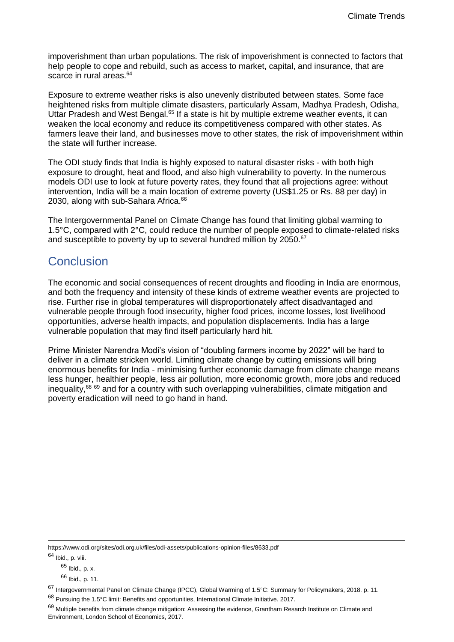impoverishment than urban populations. The risk of impoverishment is connected to factors that help people to cope and rebuild, such as access to market, capital, and insurance, that are scarce in rural areas.<sup>64</sup>

Exposure to extreme weather risks is also unevenly distributed between states. Some face heightened risks from multiple climate disasters, particularly Assam, Madhya Pradesh, Odisha, Uttar Pradesh and West Bengal.<sup>65</sup> If a state is hit by multiple extreme weather events, it can weaken the local economy and reduce its competitiveness compared with other states. As farmers leave their land, and businesses move to other states, the risk of impoverishment within the state will further increase.

The ODI study finds that India is highly exposed to natural disaster risks - with both high exposure to drought, heat and flood, and also high vulnerability to poverty. In the numerous models ODI use to look at future poverty rates, they found that all projections agree: without intervention, India will be a main location of extreme poverty (US\$1.25 or Rs. 88 per day) in 2030, along with sub-Sahara Africa.<sup>66</sup>

The Intergovernmental Panel on Climate Change has found that limiting global warming to 1.5°C, compared with 2°C, could reduce the number of people exposed to climate-related risks and susceptible to poverty by up to several hundred million by 2050.<sup>67</sup>

## **Conclusion**

The economic and social consequences of recent droughts and flooding in India are enormous, and both the frequency and intensity of these kinds of extreme weather events are projected to rise. Further rise in global temperatures will disproportionately affect disadvantaged and vulnerable people through food insecurity, higher food prices, income losses, lost livelihood opportunities, adverse health impacts, and population displacements. India has a large vulnerable population that may find itself particularly hard hit.

Prime Minister Narendra Modi's vision of "doubling farmers income by 2022" will be hard to deliver in a climate stricken world. Limiting climate change by cutting emissions will bring enormous benefits for India - minimising further economic damage from climate change means less hunger, healthier people, less air pollution, more economic growth, more jobs and reduced inequality,<sup>68</sup> <sup>69</sup> and for a country with such overlapping vulnerabilities, climate mitigation and poverty eradication will need to go hand in hand.

https://www.odi.org/sites/odi.org.uk/files/odi-assets/publications-opinion-files/8633.pdf

<sup>64</sup> Ibid., p. viii.

 $65$  Ibid., p. x.

<sup>66</sup> Ibid., p. 11.

<sup>67</sup> Intergovernmental Panel on Climate Change (IPCC), Global Warming of 1.5°C: Summary for Policymakers, 2018. p. 11.

<sup>68</sup> Pursuing the 1.5°C limit: Benefits and opportunities, International Climate Initiative. 2017.

 $69$  Multiple benefits from climate change mitigation: Assessing the evidence, Grantham Resarch Institute on Climate and Environment, London School of Economics, 2017.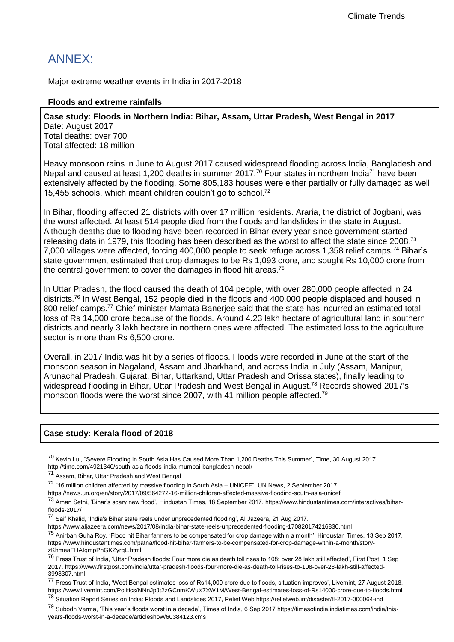## ANNEX:

Major extreme weather events in India in 2017-2018

### **Floods and extreme rainfalls**

**Case study: Floods in Northern India: Bihar, Assam, Uttar Pradesh, West Bengal in 2017** Date: August 2017

Total deaths: over 700 Total affected: 18 million

Heavy monsoon rains in June to August 2017 caused widespread flooding across India, Bangladesh and Nepal and caused at least 1,200 deaths in summer 2017.<sup>70</sup> Four states in northern India<sup>71</sup> have been extensively affected by the flooding. Some 805,183 houses were either partially or fully damaged as well 15,455 schools, which meant children couldn't go to school.<sup>72</sup>

In Bihar, flooding affected 21 districts with over 17 million residents. Araria, the district of Jogbani, was the worst affected. At least 514 people died from the floods and landslides in the state in August. Although deaths due to flooding have been recorded in Bihar every year since government started releasing data in 1979, this flooding has been described as the worst to affect the state since 2008.<sup>73</sup> 7,000 villages were affected, forcing 400,000 people to seek refuge across 1,358 relief camps.<sup>74</sup> Bihar's state government estimated that crop damages to be Rs 1,093 crore, and sought Rs 10,000 crore from the central government to cover the damages in flood hit areas.<sup>75</sup>

In Uttar Pradesh, the flood caused the death of 104 people, with over 280,000 people affected in 24 districts.<sup>76</sup> In West Bengal, 152 people died in the floods and 400,000 people displaced and housed in 800 relief camps.<sup>77</sup> Chief minister Mamata Banerjee said that the state has incurred an estimated total loss of Rs 14,000 crore because of the floods. Around 4.23 lakh hectare of agricultural land in southern districts and nearly 3 lakh hectare in northern ones were affected. The estimated loss to the agriculture sector is more than Rs 6,500 crore.

Overall, in 2017 India was hit by a series of floods. Floods were recorded in June at the start of the monsoon season in Nagaland, Assam and Jharkhand, and across India in July (Assam, Manipur, Arunachal Pradesh, Gujarat, Bihar, Uttarkand, Uttar Pradesh and Orissa states), finally leading to widespread flooding in Bihar, Uttar Pradesh and West Bengal in August.<sup>78</sup> Records showed 2017's monsoon floods were the worst since 2007, with 41 million people affected.<sup>79</sup>

### **Case study: Kerala flood of 2018**

 $^{70}$  Kevin Lui, "Severe Flooding in South Asia Has Caused More Than 1,200 Deaths This Summer", Time, 30 August 2017. http://time.com/4921340/south-asia-floods-india-mumbai-bangladesh-nepal/

<sup>71</sup> Assam, Bihar, Uttar Pradesh and West Bengal

<sup>72</sup> "16 million children affected by massive flooding in South Asia – UNICEF", UN News, 2 September 2017.

https://news.un.org/en/story/2017/09/564272-16-million-children-affected-massive-flooding-south-asia-unicef

<sup>&</sup>lt;sup>73</sup> Aman Sethi, 'Bihar's scary new flood', Hindustan Times, 18 September 2017. https://www.hindustantimes.com/interactives/biharfloods-2017/

<sup>74</sup> Saif Khalid, 'India's Bihar state reels under unprecedented flooding', Al Jazeera, 21 Aug 2017.

https://www.aljazeera.com/news/2017/08/india-bihar-state-reels-unprecedented-flooding-170820174216830.html

<sup>&</sup>lt;sup>75</sup> Anirban Guha Roy, 'Flood hit Bihar farmers to be compensated for crop damage within a month', Hindustan Times, 13 Sep 2017. https://www.hindustantimes.com/patna/flood-hit-bihar-farmers-to-be-compensated-for-crop-damage-within-a-month/storyzKhmeaFHAIqmpPhGKZyrgL.html

<sup>&</sup>lt;sup>76</sup> Press Trust of India, 'Uttar Pradesh floods: Four more die as death toll rises to 108; over 28 lakh still affected', First Post, 1 Sep 2017. https://www.firstpost.com/india/uttar-pradesh-floods-four-more-die-as-death-toll-rises-to-108-over-28-lakh-still-affected-3998307.html

<sup>&</sup>lt;sup>77</sup> Press Trust of India. 'West Bengal estimates loss of Rs14,000 crore due to floods, situation improves', Livemint, 27 August 2018. https://www.livemint.com/Politics/NNnJpJt2zGCnmKWuX7XW1M/West-Bengal-estimates-loss-of-Rs14000-crore-due-to-floods.html

<sup>&</sup>lt;sup>78</sup> Situation Report Series on India: Floods and Landslides 2017, Relief Web https://reliefweb.int/disaster/fl-2017-000064-ind

<sup>&</sup>lt;sup>79</sup> Subodh Varma, 'This year's floods worst in a decade', Times of India, 6 Sep 2017 https://timesofindia.indiatimes.com/india/thisyears-floods-worst-in-a-decade/articleshow/60384123.cms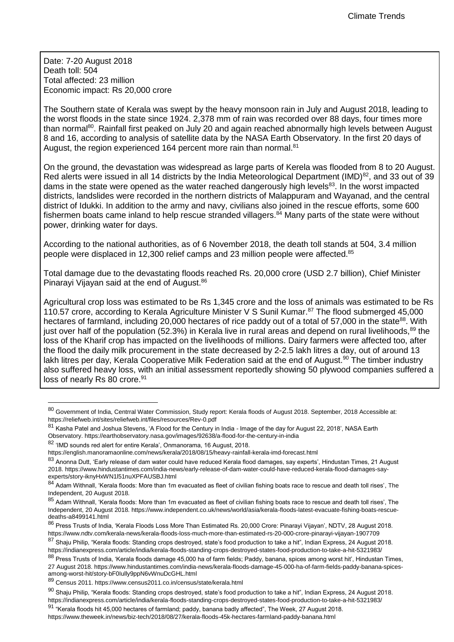Date: 7-20 August 2018 Death toll: 504 Total affected: 23 million Economic impact: Rs 20,000 crore

The Southern state of Kerala was swept by the heavy monsoon rain in July and August 2018, leading to the worst floods in the state since 1924. 2,378 mm of rain was recorded over 88 days, four times more than normal<sup>80</sup>. Rainfall first peaked on July 20 and again reached abnormally high levels between August 8 and 16, according to analysis of satellite data by the NASA Earth Observatory. In the first 20 days of August, the region experienced 164 percent more rain than normal.<sup>81</sup>

On the ground, the devastation was widespread as large parts of Kerela was flooded from 8 to 20 August. Red alerts were issued in all 14 districts by the India Meteorological Department (IMD)<sup>82</sup>, and 33 out of 39 dams in the state were opened as the water reached dangerously high levels<sup>83</sup>. In the worst impacted districts, landslides were recorded in the northern districts of Malappuram and Wayanad, and the central district of Idukki. In addition to the army and navy, civilians also joined in the rescue efforts, some 600 fishermen boats came inland to help rescue stranded villagers. $84$  Many parts of the state were without power, drinking water for days.

According to the national authorities, as of 6 November 2018, the death toll stands at 504, 3.4 million people were displaced in 12,300 relief camps and 23 million people were affected.<sup>85</sup>

Total damage due to the devastating floods reached Rs. 20,000 crore (USD 2.7 billion), Chief Minister Pinarayi Vijayan said at the end of August.<sup>86</sup>

Agricultural crop loss was estimated to be Rs 1,345 crore and the loss of animals was estimated to be Rs 110.57 crore, according to Kerala Agriculture Minister V S Sunil Kumar.<sup>87</sup> The flood submerged 45,000 hectares of farmland, including 20,000 hectares of rice paddy out of a total of 57,000 in the state<sup>88</sup>. With just over half of the population (52.3%) in Kerala live in rural areas and depend on rural livelihoods.<sup>89</sup> the loss of the Kharif crop has impacted on the livelihoods of millions. Dairy farmers were affected too, after the flood the daily milk procurement in the state decreased by 2-2.5 lakh litres a day, out of around 13 lakh litres per day, Kerala Cooperative Milk Federation said at the end of August.<sup>90</sup> The timber industry also suffered heavy loss, with an initial assessment reportedly showing 50 plywood companies suffered a loss of nearly Rs 80 crore.<sup>91</sup>

<sup>80</sup> Government of India. Centrral Water Commission, Study report: Kerala floods of August 2018. September, 2018 Accessible at: https://reliefweb.int/sites/reliefweb.int/files/resources/Rev-0.pdf

<sup>81</sup> Kasha Patel and Joshua Stevens, 'A Flood for the Century in India - Image of the day for August 22, 2018', NASA Earth Observatory. https://earthobservatory.nasa.gov/images/92638/a-flood-for-the-century-in-india

<sup>82</sup> 'IMD sounds red alert for entire Kerala', Onmanorama, 16 August, 2018.

https://english.manoramaonline.com/news/kerala/2018/08/15/heavy-rainfall-kerala-imd-forecast.html

<sup>83</sup> Anonna Dutt, 'Early release of dam water could have reduced Kerala flood damages, say experts', Hindustan Times, 21 August 2018. https://www.hindustantimes.com/india-news/early-release-of-dam-water-could-have-reduced-kerala-flood-damages-sayexperts/story-iknyHxWN1l51nuXPFAUSBJ.html

<sup>84</sup> Adam Withnall, 'Kerala floods: More than 1m evacuated as fleet of civilian fishing boats race to rescue and death toll rises', The Independent, 20 August 2018.

<sup>85</sup> Adam Withnall, 'Kerala floods: More than 1m evacuated as fleet of civilian fishing boats race to rescue and death toll rises', The Independent, 20 August 2018. https://www.independent.co.uk/news/world/asia/kerala-floods-latest-evacuate-fishing-boats-rescuedeaths-a8499141.html

<sup>86</sup> Press Trusts of India, 'Kerala Floods Loss More Than Estimated Rs. 20,000 Crore: Pinarayi Vijayan', NDTV, 28 August 2018. https://www.ndtv.com/kerala-news/kerala-floods-loss-much-more-than-estimated-rs-20-000-crore-pinarayi-vijayan-1907709

<sup>87</sup> Shaju Philip, "Kerala floods: Standing crops destroyed, state's food production to take a hit", Indian Express, 24 August 2018. https://indianexpress.com/article/india/kerala-floods-standing-crops-destroyed-states-food-production-to-take-a-hit-5321983/

<sup>88</sup> Press Trusts of India, 'Kerala floods damage 45,000 ha of farm fields; Paddy, banana, spices among worst hit', Hindustan Times, 27 August 2018. https://www.hindustantimes.com/india-news/kerala-floods-damage-45-000-ha-of-farm-fields-paddy-banana-spicesamong-worst-hit/story-bF0Iully9ppN6vWnuDcGHL.html

<sup>89</sup> Census 2011. https://www.census2011.co.in/census/state/kerala.html

 $90$  Shaiu Philip, "Kerala floods: Standing crops destroyed, state's food production to take a hit", Indian Express, 24 August 2018. https://indianexpress.com/article/india/kerala-floods-standing-crops-destroyed-states-food-production-to-take-a-hit-5321983/

<sup>91 &</sup>quot;Kerala floods hit 45,000 hectares of farmland; paddy, banana badly affected", The Week, 27 August 2018. https://www.theweek.in/news/biz-tech/2018/08/27/kerala-floods-45k-hectares-farmland-paddy-banana.html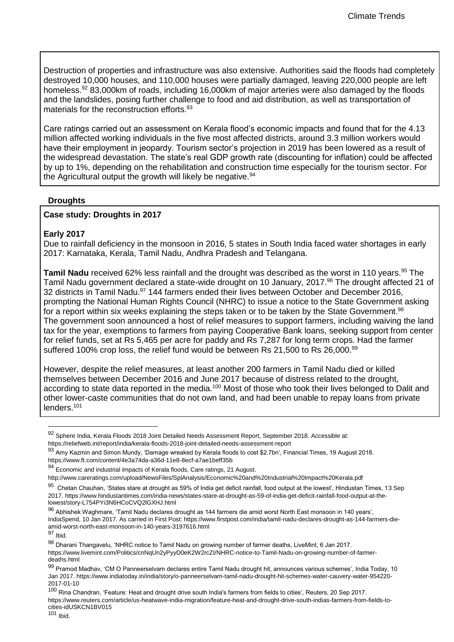Destruction of properties and infrastructure was also extensive. Authorities said the floods had completely destroyed 10,000 houses, and 110,000 houses were partially damaged, leaving 220,000 people are left homeless.<sup>92</sup> 83,000km of roads, including 16,000km of major arteries were also damaged by the floods and the landslides, posing further challenge to food and aid distribution, as well as transportation of materials for the reconstruction efforts.<sup>93</sup>

Care ratings carried out an assessment on Kerala flood's economic impacts and found that for the 4.13 million affected working individuals in the five most affected districts, around 3.3 million workers would have their employment in jeopardy. Tourism sector's projection in 2019 has been lowered as a result of the widespread devastation. The state's real GDP growth rate (discounting for inflation) could be affected by up to 1%, depending on the rehabilitation and construction time especially for the tourism sector. For the Agricultural output the growth will likely be negative.<sup>94</sup>

#### **Droughts**

#### **Case study: Droughts in 2017**

#### **Early 2017**

Due to rainfall deficiency in the monsoon in 2016, 5 states in South India faced water shortages in early 2017: Karnataka, Kerala, Tamil Nadu, Andhra Pradesh and Telangana.

**Tamil Nadu** received 62% less rainfall and the drought was described as the worst in 110 years.<sup>95</sup> The Tamil Nadu government declared a state-wide drought on 10 January, 2017.<sup>96</sup> The drought affected 21 of 32 districts in Tamil Nadu.<sup>97</sup> 144 farmers ended their lives between October and December 2016, prompting the National Human Rights Council (NHRC) to issue a notice to the State Government asking for a report within six weeks explaining the steps taken or to be taken by the State Government.<sup>98</sup> The government soon announced a host of relief measures to support farmers, including waiving the land tax for the year, exemptions to farmers from paying Cooperative Bank loans, seeking support from center for relief funds, set at Rs 5,465 per acre for paddy and Rs 7,287 for long term crops. Had the farmer suffered 100% crop loss, the relief fund would be between Rs 21,500 to Rs 26,000.<sup>99</sup>

However, despite the relief measures, at least another 200 farmers in Tamil Nadu died or killed themselves between December 2016 and June 2017 because of distress related to the drought, according to state data reported in the media.<sup>100</sup> Most of those who took their lives belonged to Dalit and other lower-caste communities that do not own land, and had been unable to repay loans from private lenders.<sup>101</sup>

<sup>92</sup> Sphere India, Kerala Floods 2018 Joint Detailed Needs Assessment Report, September 2018. Accessible at: https://reliefweb.int/report/india/kerala-floods-2018-joint-detailed-needs-assessment-report

<sup>93</sup> Amy Kazmin and Simon Mundy, 'Damage wreaked by Kerala floods to cost \$2.7bn', Financial Times, 19 August 2018. https://www.ft.com/content/4e3a74da-a36d-11e8-8ecf-a7ae1beff35b

<sup>94</sup> Economic and industrial impacts of Kerala floods, Care ratings, 21 August.

http://www.careratings.com/upload/NewsFiles/SplAnalysis/Economic%20and%20Industrial%20Impact%20Kerala.pdf

<sup>&</sup>lt;sup>95</sup> Chetan Chauhan, 'States stare at drought as 59% of India get deficit rainfall, food output at the lowest', Hindustan Times, 13 Sep 2017. https://www.hindustantimes.com/india-news/states-stare-at-drought-as-59-of-india-get-deficit-rainfall-food-output-at-thelowest/story-L754PYi3N6HCoCVQ2lGXHJ.html

<sup>96</sup> Abhishek Waghmare, 'Tamil Nadu declares drought as 144 farmers die amid worst North East monsoon in 140 years', IndiaSpend, 10 Jan 2017. As carried in First Post: https://www.firstpost.com/india/tamil-nadu-declares-drought-as-144-farmers-dieamid-worst-north-east-monsoon-in-140-years-3197616.html

<sup>97</sup> Ibid.

<sup>98</sup> Dharani Thangavelu, 'NHRC notice to Tamil Nadu on growing number of farmer deaths, LiveMint, 6 Jan 2017. https://www.livemint.com/Politics/cnNqUn2yPyyD0eK2W2rcZI/NHRC-notice-to-Tamil-Nadu-on-growing-number-of-farmerdeaths.html

<sup>99</sup> Pramod Madhav, 'CM O Panneerselvam declares entire Tamil Nadu drought hit, announces various schemes', India Today, 10 Jan 2017. https://www.indiatoday.in/india/story/o-panneerselvam-tamil-nadu-drought-hit-schemes-water-cauvery-water-954220- 2017-01-10

<sup>&</sup>lt;sup>100</sup> Rina Chandran, 'Feature: Heat and drought drive south India's farmers from fields to cities', Reuters, 20 Sep 2017. https://www.reuters.com/article/us-heatwave-india-migration/feature-heat-and-drought-drive-south-indias-farmers-from-fields-tocities-idUSKCN1BV015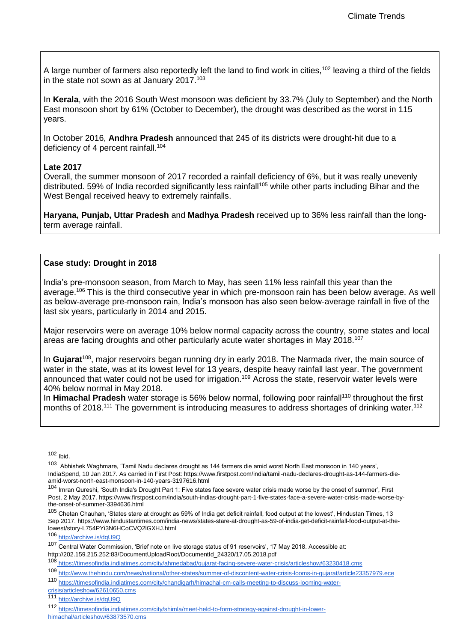A large number of farmers also reportedly left the land to find work in cities,<sup>102</sup> leaving a third of the fields in the state not sown as at January  $2017$ .<sup>103</sup>

In **Kerala**, with the 2016 South West monsoon was deficient by 33.7% (July to September) and the North East monsoon short by 61% (October to December), the drought was described as the worst in 115 years.

In October 2016, **Andhra Pradesh** announced that 245 of its districts were drought-hit due to a deficiency of 4 percent rainfall.<sup>104</sup>

#### **Late 2017**

Overall, the summer monsoon of 2017 recorded a rainfall deficiency of 6%, but it was really unevenly distributed. 59% of India recorded significantly less rainfall<sup>105</sup> while other parts including Bihar and the West Bengal received heavy to extremely rainfalls.

**Haryana, Punjab, Uttar Pradesh** and **Madhya Pradesh** received up to 36% less rainfall than the longterm average rainfall.

### **Case study: Drought in 2018**

India's pre-monsoon season, from March to May, has seen 11% less rainfall this year than the average.<sup>106</sup> This is the third consecutive year in which pre-monsoon rain has been below average. As well as below-average pre-monsoon rain, India's monsoon has also seen below-average rainfall in five of the last six years, particularly in 2014 and 2015.

Major reservoirs were on average 10% below normal capacity across the country, some states and local areas are facing droughts and other particularly acute water shortages in May 2018.<sup>107</sup>

In **Gujarat**<sup>108</sup>, major reservoirs began running dry in early 2018. The Narmada river, the main source of water in the state, was at its lowest level for 13 years, despite heavy rainfall last year. The government announced that water could not be used for irrigation.<sup>109</sup> Across the state, reservoir water levels were 40% below normal in May 2018.

In **Himachal Pradesh** water storage is 56% below normal, following poor rainfall<sup>110</sup> throughout the first months of 2018.<sup>111</sup> The government is introducing measures to address shortages of drinking water.<sup>112</sup>

 $102$  Ibid.

<sup>&</sup>lt;sup>103</sup> Abhishek Waghmare, 'Tamil Nadu declares drought as 144 farmers die amid worst North East monsoon in 140 years', IndiaSpend, 10 Jan 2017. As carried in First Post: https://www.firstpost.com/india/tamil-nadu-declares-drought-as-144-farmers-dieamid-worst-north-east-monsoon-in-140-years-3197616.html

<sup>104</sup> Imran Qureshi, 'South India's Drought Part 1: Five states face severe water crisis made worse by the onset of summer', First Post, 2 May 2017. https://www.firstpost.com/india/south-indias-drought-part-1-five-states-face-a-severe-water-crisis-made-worse-bythe-onset-of-summer-3394636.html

<sup>105</sup> Chetan Chauhan, 'States stare at drought as 59% of India get deficit rainfall, food output at the lowest', Hindustan Times, 13 Sep 2017. https://www.hindustantimes.com/india-news/states-stare-at-drought-as-59-of-india-get-deficit-rainfall-food-output-at-thelowest/story-L754PYi3N6HCoCVQ2lGXHJ.html

<sup>106</sup> <http://archive.is/dgU9Q>

<sup>107</sup> Central Water Commission, 'Brief note on live storage status of 91 reservoirs', 17 May 2018. Accessible at: http://202.159.215.252:83/DocumentUploadRoot/DocumentId\_24320/17.05.2018.pdf

<sup>108</sup> https://timesofindia.indiatimes.com/city/ahmedabad/gujarat-facing-severe-water-crisis/articleshow/63230418.cms

<sup>109</sup> <http://www.thehindu.com/news/national/other-states/summer-of-discontent-water-crisis-looms-in-gujarat/article23357979.ece>

<sup>110</sup> [https://timesofindia.indiatimes.com/city/chandigarh/himachal-cm-calls-meeting-to-discuss-looming-water-](https://timesofindia.indiatimes.com/city/chandigarh/himachal-cm-calls-meeting-to-discuss-looming-water-crisis/articleshow/62610650.cms)

[crisis/articleshow/62610650.cms](https://timesofindia.indiatimes.com/city/chandigarh/himachal-cm-calls-meeting-to-discuss-looming-water-crisis/articleshow/62610650.cms)

<sup>111</sup> <http://archive.is/dgU9Q>

<sup>112</sup> [https://timesofindia.indiatimes.com/city/shimla/meet-held-to-form-strategy-against-drought-in-lower](https://timesofindia.indiatimes.com/city/shimla/meet-held-to-form-strategy-against-drought-in-lower-himachal/articleshow/63873570.cms)[himachal/articleshow/63873570.cms](https://timesofindia.indiatimes.com/city/shimla/meet-held-to-form-strategy-against-drought-in-lower-himachal/articleshow/63873570.cms)